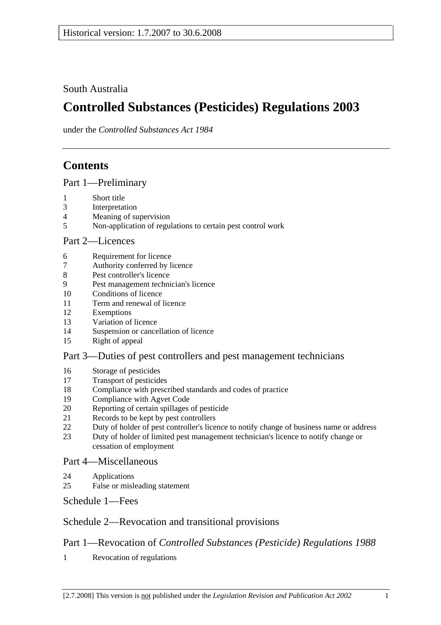South Australia

# **Controlled Substances (Pesticides) Regulations 2003**

under the *Controlled Substances Act 1984*

# **Contents**

Part 1—Preliminary

- 1 Short title
- 3 Interpretation
- 4 Meaning of supervision
- 5 Non-application of regulations to certain pest control work

#### Part 2—Licences

- 6 Requirement for licence
- 7 Authority conferred by licence
- 8 Pest controller's licence
- 9 Pest management technician's licence
- 10 Conditions of licence
- 11 Term and renewal of licence
- 12 Exemptions
- 13 Variation of licence
- 14 Suspension or cancellation of licence
- 15 Right of appeal

#### Part 3—Duties of pest controllers and pest management technicians

- 16 Storage of pesticides
- 17 Transport of pesticides
- 18 Compliance with prescribed standards and codes of practice
- 19 Compliance with Agvet Code
- 20 Reporting of certain spillages of pesticide
- 21 Records to be kept by pest controllers
- 22 Duty of holder of pest controller's licence to notify change of business name or address
- 23 Duty of holder of limited pest management technician's licence to notify change or cessation of employment

#### Part 4—Miscellaneous

- 24 Applications
- 25 False or misleading statement

Schedule 1—Fees

## Schedule 2—Revocation and transitional provisions

## Part 1—Revocation of *Controlled Substances (Pesticide) Regulations 1988*

1 Revocation of regulations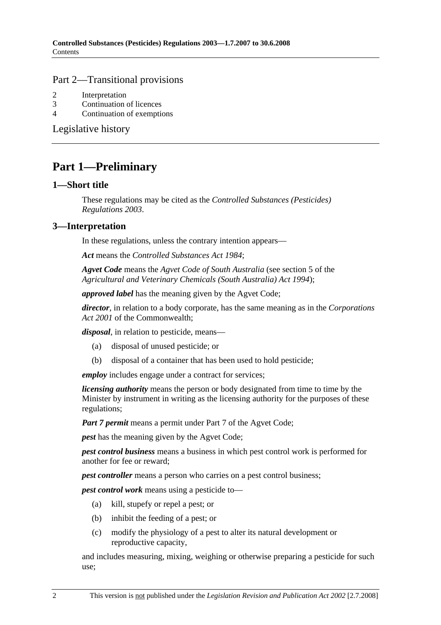#### Part 2—Transitional provisions

- 2 Interpretation
- 3 Continuation of licences
- 4 Continuation of exemptions

Legislative history

## **Part 1—Preliminary**

#### **1—Short title**

These regulations may be cited as the *Controlled Substances (Pesticides) Regulations 2003*.

### **3—Interpretation**

In these regulations, unless the contrary intention appears—

*Act* means the *Controlled Substances Act 1984*;

*Agvet Code* means the *Agvet Code of South Australia* (see section 5 of the *Agricultural and Veterinary Chemicals (South Australia) Act 1994*);

*approved label* has the meaning given by the Agvet Code;

*director*, in relation to a body corporate, has the same meaning as in the *Corporations Act 2001* of the Commonwealth;

*disposal*, in relation to pesticide, means—

- (a) disposal of unused pesticide; or
- (b) disposal of a container that has been used to hold pesticide;

*employ* includes engage under a contract for services;

*licensing authority* means the person or body designated from time to time by the Minister by instrument in writing as the licensing authority for the purposes of these regulations;

*Part 7 permit* means a permit under Part 7 of the Agvet Code;

*pest* has the meaning given by the Agvet Code;

*pest control business* means a business in which pest control work is performed for another for fee or reward;

*pest controller* means a person who carries on a pest control business;

*pest control work* means using a pesticide to—

- (a) kill, stupefy or repel a pest; or
- (b) inhibit the feeding of a pest; or
- (c) modify the physiology of a pest to alter its natural development or reproductive capacity,

and includes measuring, mixing, weighing or otherwise preparing a pesticide for such use;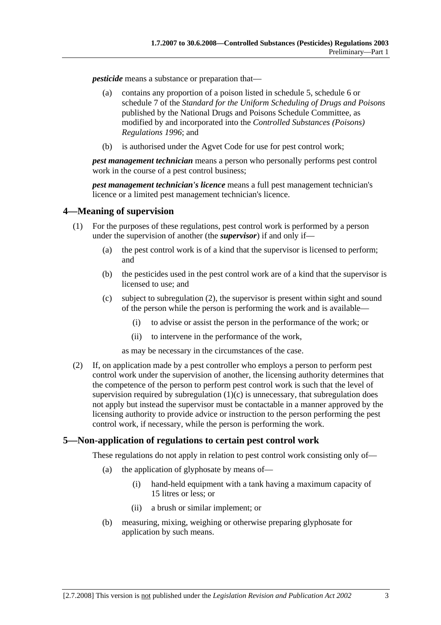*pesticide* means a substance or preparation that—

- (a) contains any proportion of a poison listed in schedule 5, schedule 6 or schedule 7 of the *Standard for the Uniform Scheduling of Drugs and Poisons* published by the National Drugs and Poisons Schedule Committee, as modified by and incorporated into the *Controlled Substances (Poisons) Regulations 1996*; and
- (b) is authorised under the Agvet Code for use for pest control work;

*pest management technician* means a person who personally performs pest control work in the course of a pest control business;

*pest management technician's licence* means a full pest management technician's licence or a limited pest management technician's licence.

#### **4—Meaning of supervision**

- (1) For the purposes of these regulations, pest control work is performed by a person under the supervision of another (the *supervisor*) if and only if—
	- (a) the pest control work is of a kind that the supervisor is licensed to perform; and
	- (b) the pesticides used in the pest control work are of a kind that the supervisor is licensed to use; and
	- (c) subject to subregulation (2), the supervisor is present within sight and sound of the person while the person is performing the work and is available—
		- (i) to advise or assist the person in the performance of the work; or
		- (ii) to intervene in the performance of the work,

as may be necessary in the circumstances of the case.

 (2) If, on application made by a pest controller who employs a person to perform pest control work under the supervision of another, the licensing authority determines that the competence of the person to perform pest control work is such that the level of supervision required by subregulation  $(1)(c)$  is unnecessary, that subregulation does not apply but instead the supervisor must be contactable in a manner approved by the licensing authority to provide advice or instruction to the person performing the pest control work, if necessary, while the person is performing the work.

#### **5—Non-application of regulations to certain pest control work**

These regulations do not apply in relation to pest control work consisting only of—

- (a) the application of glyphosate by means of—
	- (i) hand-held equipment with a tank having a maximum capacity of 15 litres or less; or
	- (ii) a brush or similar implement; or
- (b) measuring, mixing, weighing or otherwise preparing glyphosate for application by such means.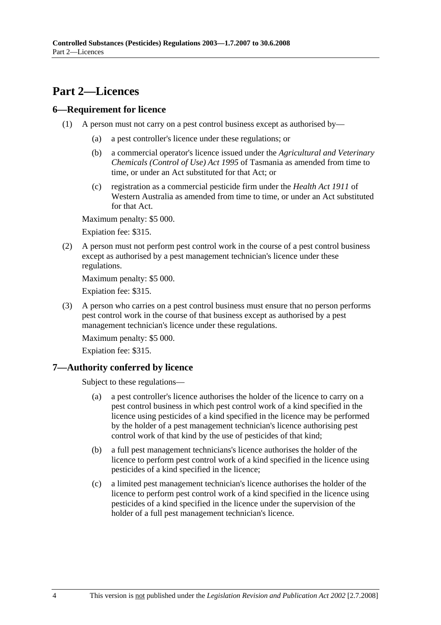## **Part 2—Licences**

### **6—Requirement for licence**

- (1) A person must not carry on a pest control business except as authorised by—
	- (a) a pest controller's licence under these regulations; or
	- (b) a commercial operator's licence issued under the *Agricultural and Veterinary Chemicals (Control of Use) Act 1995* of Tasmania as amended from time to time, or under an Act substituted for that Act; or
	- (c) registration as a commercial pesticide firm under the *Health Act 1911* of Western Australia as amended from time to time, or under an Act substituted for that Act.

Maximum penalty: \$5 000.

Expiation fee: \$315.

 (2) A person must not perform pest control work in the course of a pest control business except as authorised by a pest management technician's licence under these regulations.

Maximum penalty: \$5 000.

Expiation fee: \$315.

 (3) A person who carries on a pest control business must ensure that no person performs pest control work in the course of that business except as authorised by a pest management technician's licence under these regulations.

Maximum penalty: \$5 000.

Expiation fee: \$315.

## **7—Authority conferred by licence**

Subject to these regulations—

- (a) a pest controller's licence authorises the holder of the licence to carry on a pest control business in which pest control work of a kind specified in the licence using pesticides of a kind specified in the licence may be performed by the holder of a pest management technician's licence authorising pest control work of that kind by the use of pesticides of that kind;
- (b) a full pest management technicians's licence authorises the holder of the licence to perform pest control work of a kind specified in the licence using pesticides of a kind specified in the licence;
- (c) a limited pest management technician's licence authorises the holder of the licence to perform pest control work of a kind specified in the licence using pesticides of a kind specified in the licence under the supervision of the holder of a full pest management technician's licence.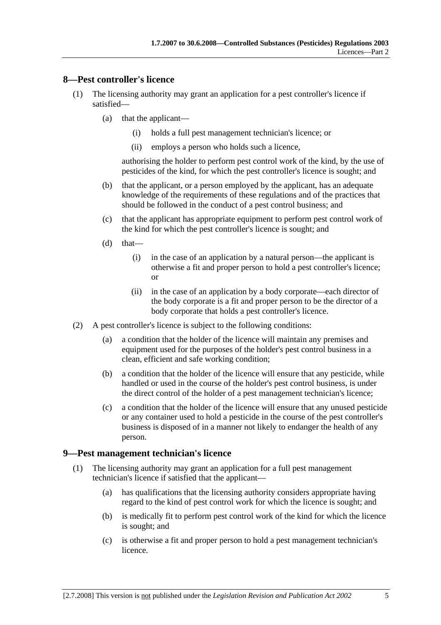#### **8—Pest controller's licence**

- (1) The licensing authority may grant an application for a pest controller's licence if satisfied—
	- (a) that the applicant—
		- (i) holds a full pest management technician's licence; or
		- (ii) employs a person who holds such a licence,

authorising the holder to perform pest control work of the kind, by the use of pesticides of the kind, for which the pest controller's licence is sought; and

- (b) that the applicant, or a person employed by the applicant, has an adequate knowledge of the requirements of these regulations and of the practices that should be followed in the conduct of a pest control business; and
- (c) that the applicant has appropriate equipment to perform pest control work of the kind for which the pest controller's licence is sought; and
- $(d)$  that—
	- (i) in the case of an application by a natural person—the applicant is otherwise a fit and proper person to hold a pest controller's licence; or
	- (ii) in the case of an application by a body corporate—each director of the body corporate is a fit and proper person to be the director of a body corporate that holds a pest controller's licence.
- (2) A pest controller's licence is subject to the following conditions:
	- (a) a condition that the holder of the licence will maintain any premises and equipment used for the purposes of the holder's pest control business in a clean, efficient and safe working condition;
	- (b) a condition that the holder of the licence will ensure that any pesticide, while handled or used in the course of the holder's pest control business, is under the direct control of the holder of a pest management technician's licence;
	- (c) a condition that the holder of the licence will ensure that any unused pesticide or any container used to hold a pesticide in the course of the pest controller's business is disposed of in a manner not likely to endanger the health of any person.

#### **9—Pest management technician's licence**

- (1) The licensing authority may grant an application for a full pest management technician's licence if satisfied that the applicant—
	- (a) has qualifications that the licensing authority considers appropriate having regard to the kind of pest control work for which the licence is sought; and
	- (b) is medically fit to perform pest control work of the kind for which the licence is sought; and
	- (c) is otherwise a fit and proper person to hold a pest management technician's licence.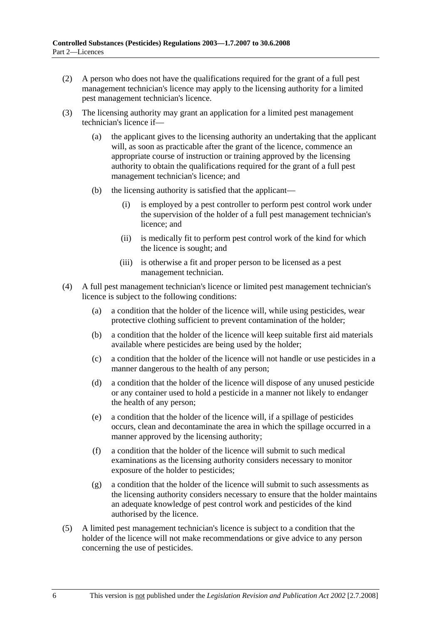- (2) A person who does not have the qualifications required for the grant of a full pest management technician's licence may apply to the licensing authority for a limited pest management technician's licence.
- (3) The licensing authority may grant an application for a limited pest management technician's licence if—
	- (a) the applicant gives to the licensing authority an undertaking that the applicant will, as soon as practicable after the grant of the licence, commence an appropriate course of instruction or training approved by the licensing authority to obtain the qualifications required for the grant of a full pest management technician's licence; and
	- (b) the licensing authority is satisfied that the applicant—
		- (i) is employed by a pest controller to perform pest control work under the supervision of the holder of a full pest management technician's licence; and
		- (ii) is medically fit to perform pest control work of the kind for which the licence is sought; and
		- (iii) is otherwise a fit and proper person to be licensed as a pest management technician.
- (4) A full pest management technician's licence or limited pest management technician's licence is subject to the following conditions:
	- (a) a condition that the holder of the licence will, while using pesticides, wear protective clothing sufficient to prevent contamination of the holder;
	- (b) a condition that the holder of the licence will keep suitable first aid materials available where pesticides are being used by the holder;
	- (c) a condition that the holder of the licence will not handle or use pesticides in a manner dangerous to the health of any person;
	- (d) a condition that the holder of the licence will dispose of any unused pesticide or any container used to hold a pesticide in a manner not likely to endanger the health of any person;
	- (e) a condition that the holder of the licence will, if a spillage of pesticides occurs, clean and decontaminate the area in which the spillage occurred in a manner approved by the licensing authority;
	- (f) a condition that the holder of the licence will submit to such medical examinations as the licensing authority considers necessary to monitor exposure of the holder to pesticides;
	- (g) a condition that the holder of the licence will submit to such assessments as the licensing authority considers necessary to ensure that the holder maintains an adequate knowledge of pest control work and pesticides of the kind authorised by the licence.
- (5) A limited pest management technician's licence is subject to a condition that the holder of the licence will not make recommendations or give advice to any person concerning the use of pesticides.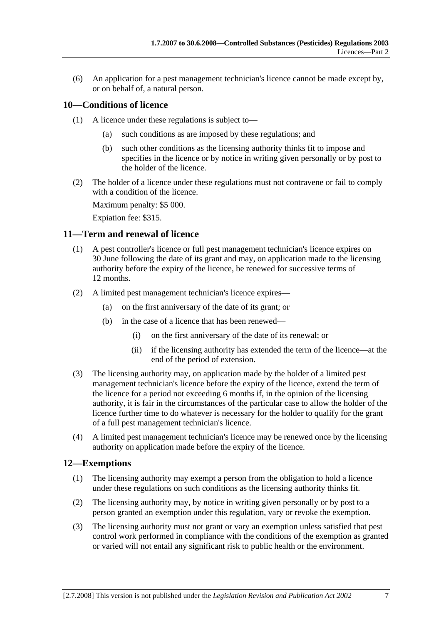(6) An application for a pest management technician's licence cannot be made except by, or on behalf of, a natural person.

### **10—Conditions of licence**

- (1) A licence under these regulations is subject to—
	- (a) such conditions as are imposed by these regulations; and
	- (b) such other conditions as the licensing authority thinks fit to impose and specifies in the licence or by notice in writing given personally or by post to the holder of the licence.
- (2) The holder of a licence under these regulations must not contravene or fail to comply with a condition of the licence.

Maximum penalty: \$5 000.

Expiation fee: \$315.

#### **11—Term and renewal of licence**

- (1) A pest controller's licence or full pest management technician's licence expires on 30 June following the date of its grant and may, on application made to the licensing authority before the expiry of the licence, be renewed for successive terms of 12 months.
- (2) A limited pest management technician's licence expires—
	- (a) on the first anniversary of the date of its grant; or
	- (b) in the case of a licence that has been renewed—
		- (i) on the first anniversary of the date of its renewal; or
		- (ii) if the licensing authority has extended the term of the licence—at the end of the period of extension.
- (3) The licensing authority may, on application made by the holder of a limited pest management technician's licence before the expiry of the licence, extend the term of the licence for a period not exceeding 6 months if, in the opinion of the licensing authority, it is fair in the circumstances of the particular case to allow the holder of the licence further time to do whatever is necessary for the holder to qualify for the grant of a full pest management technician's licence.
- (4) A limited pest management technician's licence may be renewed once by the licensing authority on application made before the expiry of the licence.

#### **12—Exemptions**

- (1) The licensing authority may exempt a person from the obligation to hold a licence under these regulations on such conditions as the licensing authority thinks fit.
- (2) The licensing authority may, by notice in writing given personally or by post to a person granted an exemption under this regulation, vary or revoke the exemption.
- (3) The licensing authority must not grant or vary an exemption unless satisfied that pest control work performed in compliance with the conditions of the exemption as granted or varied will not entail any significant risk to public health or the environment.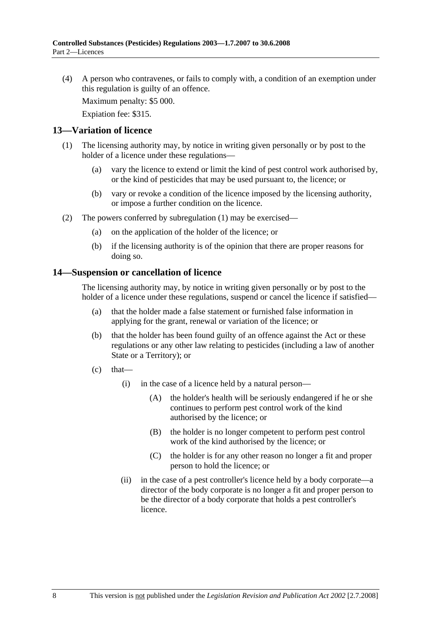(4) A person who contravenes, or fails to comply with, a condition of an exemption under this regulation is guilty of an offence.

Maximum penalty: \$5 000.

Expiation fee: \$315.

#### **13—Variation of licence**

- (1) The licensing authority may, by notice in writing given personally or by post to the holder of a licence under these regulations—
	- (a) vary the licence to extend or limit the kind of pest control work authorised by, or the kind of pesticides that may be used pursuant to, the licence; or
	- (b) vary or revoke a condition of the licence imposed by the licensing authority, or impose a further condition on the licence.
- (2) The powers conferred by subregulation (1) may be exercised—
	- (a) on the application of the holder of the licence; or
	- (b) if the licensing authority is of the opinion that there are proper reasons for doing so.

#### **14—Suspension or cancellation of licence**

The licensing authority may, by notice in writing given personally or by post to the holder of a licence under these regulations, suspend or cancel the licence if satisfied—

- (a) that the holder made a false statement or furnished false information in applying for the grant, renewal or variation of the licence; or
- (b) that the holder has been found guilty of an offence against the Act or these regulations or any other law relating to pesticides (including a law of another State or a Territory); or
- $(c)$  that—
	- (i) in the case of a licence held by a natural person—
		- (A) the holder's health will be seriously endangered if he or she continues to perform pest control work of the kind authorised by the licence; or
		- (B) the holder is no longer competent to perform pest control work of the kind authorised by the licence; or
		- (C) the holder is for any other reason no longer a fit and proper person to hold the licence; or
	- (ii) in the case of a pest controller's licence held by a body corporate—a director of the body corporate is no longer a fit and proper person to be the director of a body corporate that holds a pest controller's licence.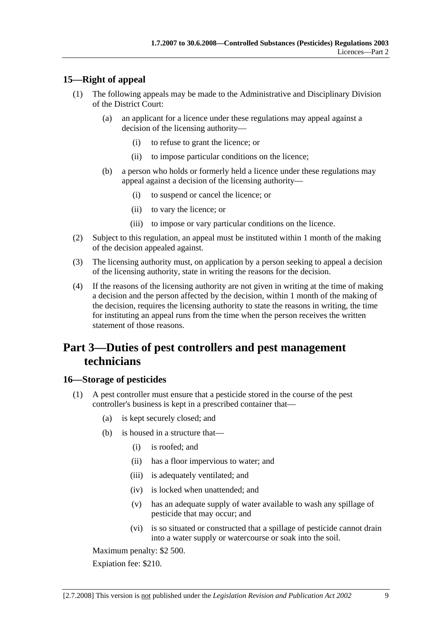### **15—Right of appeal**

- (1) The following appeals may be made to the Administrative and Disciplinary Division of the District Court:
	- (a) an applicant for a licence under these regulations may appeal against a decision of the licensing authority—
		- (i) to refuse to grant the licence; or
		- (ii) to impose particular conditions on the licence;
	- (b) a person who holds or formerly held a licence under these regulations may appeal against a decision of the licensing authority—
		- (i) to suspend or cancel the licence; or
		- (ii) to vary the licence; or
		- (iii) to impose or vary particular conditions on the licence.
- (2) Subject to this regulation, an appeal must be instituted within 1 month of the making of the decision appealed against.
- (3) The licensing authority must, on application by a person seeking to appeal a decision of the licensing authority, state in writing the reasons for the decision.
- (4) If the reasons of the licensing authority are not given in writing at the time of making a decision and the person affected by the decision, within 1 month of the making of the decision, requires the licensing authority to state the reasons in writing, the time for instituting an appeal runs from the time when the person receives the written statement of those reasons.

## **Part 3—Duties of pest controllers and pest management technicians**

#### **16—Storage of pesticides**

- (1) A pest controller must ensure that a pesticide stored in the course of the pest controller's business is kept in a prescribed container that—
	- (a) is kept securely closed; and
	- (b) is housed in a structure that—
		- (i) is roofed; and
		- (ii) has a floor impervious to water; and
		- (iii) is adequately ventilated; and
		- (iv) is locked when unattended; and
		- (v) has an adequate supply of water available to wash any spillage of pesticide that may occur; and
		- (vi) is so situated or constructed that a spillage of pesticide cannot drain into a water supply or watercourse or soak into the soil.

Maximum penalty: \$2 500.

Expiation fee: \$210.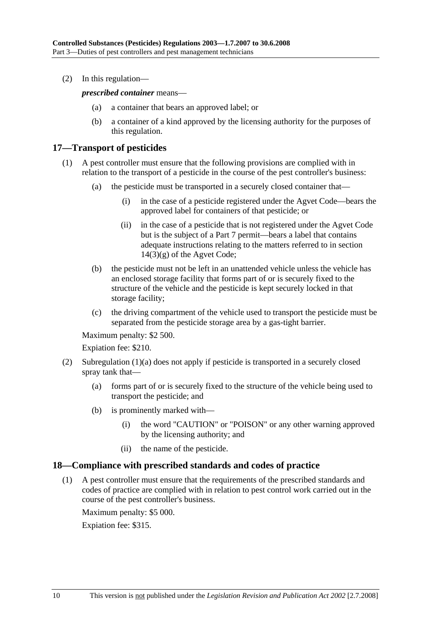(2) In this regulation—

*prescribed container* means—

- (a) a container that bears an approved label; or
- (b) a container of a kind approved by the licensing authority for the purposes of this regulation.

#### **17—Transport of pesticides**

- (1) A pest controller must ensure that the following provisions are complied with in relation to the transport of a pesticide in the course of the pest controller's business:
	- (a) the pesticide must be transported in a securely closed container that—
		- (i) in the case of a pesticide registered under the Agvet Code—bears the approved label for containers of that pesticide; or
		- (ii) in the case of a pesticide that is not registered under the Agvet Code but is the subject of a Part 7 permit—bears a label that contains adequate instructions relating to the matters referred to in section  $14(3)(g)$  of the Agvet Code;
	- (b) the pesticide must not be left in an unattended vehicle unless the vehicle has an enclosed storage facility that forms part of or is securely fixed to the structure of the vehicle and the pesticide is kept securely locked in that storage facility;
	- (c) the driving compartment of the vehicle used to transport the pesticide must be separated from the pesticide storage area by a gas-tight barrier.

Maximum penalty: \$2 500.

Expiation fee: \$210.

- (2) Subregulation (1)(a) does not apply if pesticide is transported in a securely closed spray tank that—
	- (a) forms part of or is securely fixed to the structure of the vehicle being used to transport the pesticide; and
	- (b) is prominently marked with—
		- (i) the word "CAUTION" or "POISON" or any other warning approved by the licensing authority; and
		- (ii) the name of the pesticide.

#### **18—Compliance with prescribed standards and codes of practice**

 (1) A pest controller must ensure that the requirements of the prescribed standards and codes of practice are complied with in relation to pest control work carried out in the course of the pest controller's business.

Maximum penalty: \$5 000.

Expiation fee: \$315.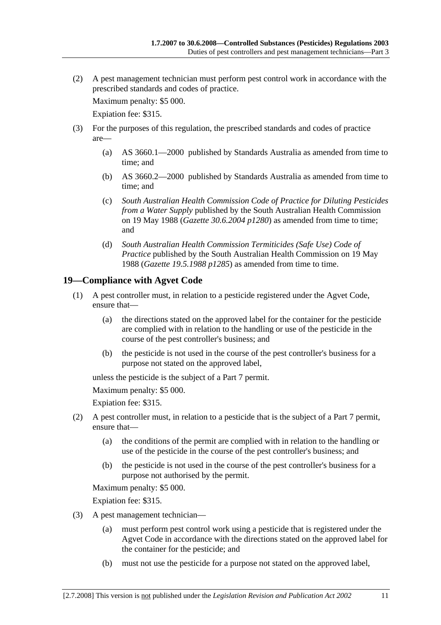(2) A pest management technician must perform pest control work in accordance with the prescribed standards and codes of practice.

Maximum penalty: \$5 000.

Expiation fee: \$315.

- (3) For the purposes of this regulation, the prescribed standards and codes of practice are—
	- (a) AS 3660.1—2000 published by Standards Australia as amended from time to time; and
	- (b) AS 3660.2—2000 published by Standards Australia as amended from time to time; and
	- (c) *South Australian Health Commission Code of Practice for Diluting Pesticides from a Water Supply* published by the South Australian Health Commission on 19 May 1988 (*Gazette 30.6.2004 p1280*) as amended from time to time; and
	- (d) *South Australian Health Commission Termiticides (Safe Use) Code of Practice* published by the South Australian Health Commission on 19 May 1988 (*Gazette 19.5.1988 p1285*) as amended from time to time.

### **19—Compliance with Agvet Code**

- (1) A pest controller must, in relation to a pesticide registered under the Agvet Code, ensure that—
	- (a) the directions stated on the approved label for the container for the pesticide are complied with in relation to the handling or use of the pesticide in the course of the pest controller's business; and
	- (b) the pesticide is not used in the course of the pest controller's business for a purpose not stated on the approved label,

unless the pesticide is the subject of a Part 7 permit.

Maximum penalty: \$5 000.

Expiation fee: \$315.

- (2) A pest controller must, in relation to a pesticide that is the subject of a Part 7 permit, ensure that—
	- (a) the conditions of the permit are complied with in relation to the handling or use of the pesticide in the course of the pest controller's business; and
	- (b) the pesticide is not used in the course of the pest controller's business for a purpose not authorised by the permit.

Maximum penalty: \$5 000.

Expiation fee: \$315.

- (3) A pest management technician—
	- (a) must perform pest control work using a pesticide that is registered under the Agvet Code in accordance with the directions stated on the approved label for the container for the pesticide; and
	- (b) must not use the pesticide for a purpose not stated on the approved label,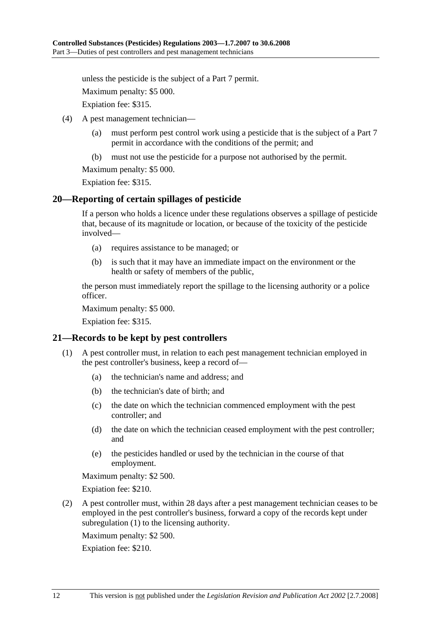unless the pesticide is the subject of a Part 7 permit.

Maximum penalty: \$5 000.

Expiation fee: \$315.

- (4) A pest management technician—
	- (a) must perform pest control work using a pesticide that is the subject of a Part 7 permit in accordance with the conditions of the permit; and
	- (b) must not use the pesticide for a purpose not authorised by the permit.

Maximum penalty: \$5 000.

Expiation fee: \$315.

#### **20—Reporting of certain spillages of pesticide**

If a person who holds a licence under these regulations observes a spillage of pesticide that, because of its magnitude or location, or because of the toxicity of the pesticide involved—

- (a) requires assistance to be managed; or
- (b) is such that it may have an immediate impact on the environment or the health or safety of members of the public,

the person must immediately report the spillage to the licensing authority or a police officer.

Maximum penalty: \$5 000.

Expiation fee: \$315.

#### **21—Records to be kept by pest controllers**

- (1) A pest controller must, in relation to each pest management technician employed in the pest controller's business, keep a record of—
	- (a) the technician's name and address; and
	- (b) the technician's date of birth; and
	- (c) the date on which the technician commenced employment with the pest controller; and
	- (d) the date on which the technician ceased employment with the pest controller; and
	- (e) the pesticides handled or used by the technician in the course of that employment.

Maximum penalty: \$2 500.

Expiation fee: \$210.

 (2) A pest controller must, within 28 days after a pest management technician ceases to be employed in the pest controller's business, forward a copy of the records kept under subregulation (1) to the licensing authority.

Maximum penalty: \$2 500.

Expiation fee: \$210.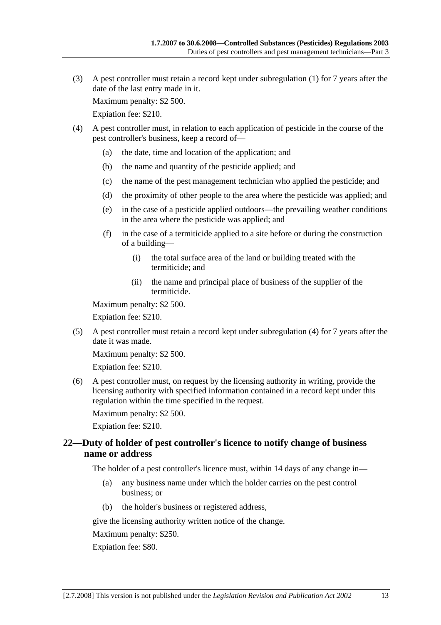(3) A pest controller must retain a record kept under subregulation (1) for 7 years after the date of the last entry made in it.

Maximum penalty: \$2 500.

Expiation fee: \$210.

- (4) A pest controller must, in relation to each application of pesticide in the course of the pest controller's business, keep a record of—
	- (a) the date, time and location of the application; and
	- (b) the name and quantity of the pesticide applied; and
	- (c) the name of the pest management technician who applied the pesticide; and
	- (d) the proximity of other people to the area where the pesticide was applied; and
	- (e) in the case of a pesticide applied outdoors—the prevailing weather conditions in the area where the pesticide was applied; and
	- (f) in the case of a termiticide applied to a site before or during the construction of a building—
		- (i) the total surface area of the land or building treated with the termiticide; and
		- (ii) the name and principal place of business of the supplier of the termiticide.

Maximum penalty: \$2 500.

Expiation fee: \$210.

 (5) A pest controller must retain a record kept under subregulation (4) for 7 years after the date it was made.

Maximum penalty: \$2 500.

Expiation fee: \$210.

 (6) A pest controller must, on request by the licensing authority in writing, provide the licensing authority with specified information contained in a record kept under this regulation within the time specified in the request.

Maximum penalty: \$2 500.

Expiation fee: \$210.

#### **22—Duty of holder of pest controller's licence to notify change of business name or address**

The holder of a pest controller's licence must, within 14 days of any change in—

- (a) any business name under which the holder carries on the pest control business; or
- (b) the holder's business or registered address,

give the licensing authority written notice of the change.

Maximum penalty: \$250.

Expiation fee: \$80.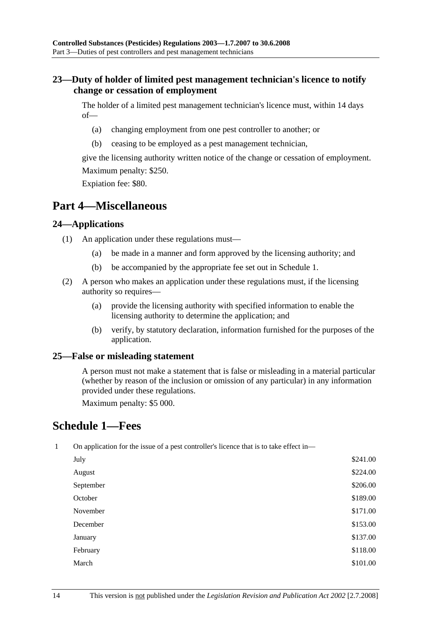### **23—Duty of holder of limited pest management technician's licence to notify change or cessation of employment**

The holder of a limited pest management technician's licence must, within 14 days of—

- (a) changing employment from one pest controller to another; or
- (b) ceasing to be employed as a pest management technician,

give the licensing authority written notice of the change or cessation of employment. Maximum penalty: \$250.

Expiation fee: \$80.

## **Part 4—Miscellaneous**

#### **24—Applications**

- (1) An application under these regulations must—
	- (a) be made in a manner and form approved by the licensing authority; and
	- (b) be accompanied by the appropriate fee set out in Schedule 1.
- (2) A person who makes an application under these regulations must, if the licensing authority so requires—
	- (a) provide the licensing authority with specified information to enable the licensing authority to determine the application; and
	- (b) verify, by statutory declaration, information furnished for the purposes of the application.

#### **25—False or misleading statement**

A person must not make a statement that is false or misleading in a material particular (whether by reason of the inclusion or omission of any particular) in any information provided under these regulations.

Maximum penalty: \$5 000.

## **Schedule 1—Fees**

1 On application for the issue of a pest controller's licence that is to take effect in—

| July      | \$241.00 |
|-----------|----------|
| August    | \$224.00 |
| September | \$206.00 |
| October   | \$189.00 |
| November  | \$171.00 |
| December  | \$153.00 |
| January   | \$137.00 |
| February  | \$118.00 |
| March     | \$101.00 |
|           |          |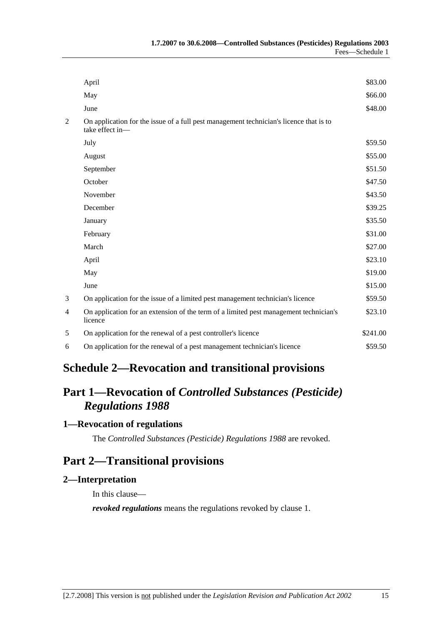|   | April                                                                                                     | \$83.00  |
|---|-----------------------------------------------------------------------------------------------------------|----------|
|   | May                                                                                                       | \$66.00  |
|   | June                                                                                                      | \$48.00  |
| 2 | On application for the issue of a full pest management technician's licence that is to<br>take effect in- |          |
|   | July                                                                                                      | \$59.50  |
|   | August                                                                                                    | \$55.00  |
|   | September                                                                                                 | \$51.50  |
|   | October                                                                                                   | \$47.50  |
|   | November                                                                                                  | \$43.50  |
|   | December                                                                                                  | \$39.25  |
|   | January                                                                                                   | \$35.50  |
|   | February                                                                                                  | \$31.00  |
|   | March                                                                                                     | \$27.00  |
|   | April                                                                                                     | \$23.10  |
|   | May                                                                                                       | \$19.00  |
|   | June                                                                                                      | \$15.00  |
| 3 | On application for the issue of a limited pest management technician's licence                            | \$59.50  |
| 4 | On application for an extension of the term of a limited pest management technician's<br>licence          | \$23.10  |
| 5 | On application for the renewal of a pest controller's licence                                             | \$241.00 |
| 6 | On application for the renewal of a pest management technician's licence                                  | \$59.50  |
|   |                                                                                                           |          |

## **Schedule 2—Revocation and transitional provisions**

# **Part 1—Revocation of** *Controlled Substances (Pesticide) Regulations 1988*

## **1—Revocation of regulations**

The *Controlled Substances (Pesticide) Regulations 1988* are revoked.

## **Part 2—Transitional provisions**

#### **2—Interpretation**

In this clause—

*revoked regulations* means the regulations revoked by clause 1.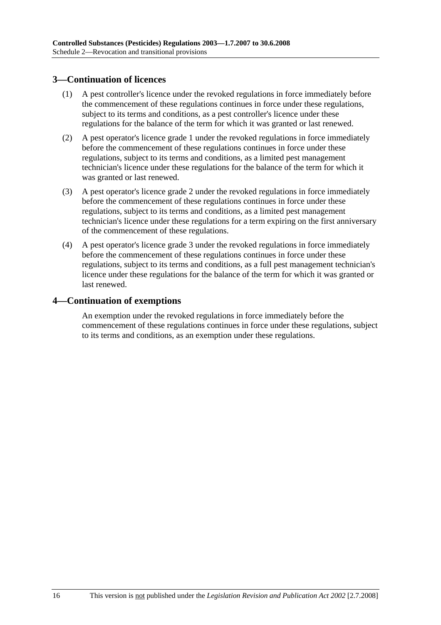### **3—Continuation of licences**

- (1) A pest controller's licence under the revoked regulations in force immediately before the commencement of these regulations continues in force under these regulations, subject to its terms and conditions, as a pest controller's licence under these regulations for the balance of the term for which it was granted or last renewed.
- (2) A pest operator's licence grade 1 under the revoked regulations in force immediately before the commencement of these regulations continues in force under these regulations, subject to its terms and conditions, as a limited pest management technician's licence under these regulations for the balance of the term for which it was granted or last renewed.
- (3) A pest operator's licence grade 2 under the revoked regulations in force immediately before the commencement of these regulations continues in force under these regulations, subject to its terms and conditions, as a limited pest management technician's licence under these regulations for a term expiring on the first anniversary of the commencement of these regulations.
- (4) A pest operator's licence grade 3 under the revoked regulations in force immediately before the commencement of these regulations continues in force under these regulations, subject to its terms and conditions, as a full pest management technician's licence under these regulations for the balance of the term for which it was granted or last renewed.

#### **4—Continuation of exemptions**

An exemption under the revoked regulations in force immediately before the commencement of these regulations continues in force under these regulations, subject to its terms and conditions, as an exemption under these regulations.